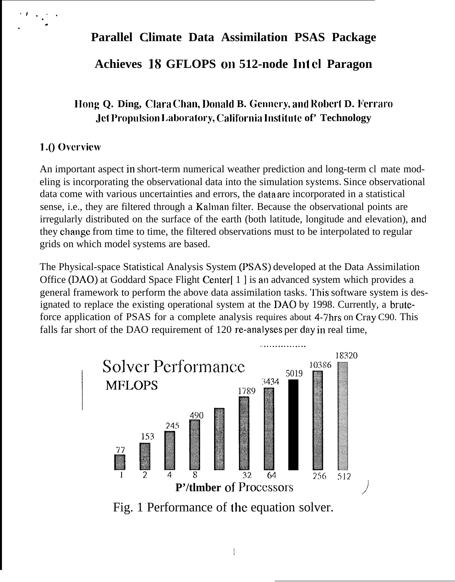# **Parallel Climate Data Assimilation PSAS Package . Achieves** 18 **GFLOPS on 512-node lnt d Paragon**

## **IIong Q. Ding, Clara Chan, Donald B. Gennery, and Robert D. Ferraro Jet Propulsion Laboratory, California Institute of' Technology**

#### **1.()** Overview

. ).  $\mathcal{L}$  . . .

.

An important aspect in short-term numerical weather prediction and long-term cl mate modeling is incorporating the observational data into the simulation systems. Since observational data come with various uncertainties and errors, the clata arc incorporated in a statistical sense, i.e., they are filtered through a Kalman filter. Because the observational points are irregularly distributed on the surface of the earth (both latitude, longitude and elevation), and they change from time to time, the filtered observations must to be interpolated to regular grids on which model systems are based.

The Physical-space Statistical Analysis System (PSAS) developed at the Data Assimilation Office (DAO) at Goddard Space Flight Center[ 1 ] is an advanced system which provides a general framework to perform the above data assimilation tasks. This software system is designated to replace the existing operational system at the DAO by 1998. Currently, a bruteforce application of PSAS for a complete analysis requires about 4-7hrs on Cray C90. This falls far short of the DAO requirement of 120 re-analyses per day in real time,



Fig. 1 Performance of the equation solver.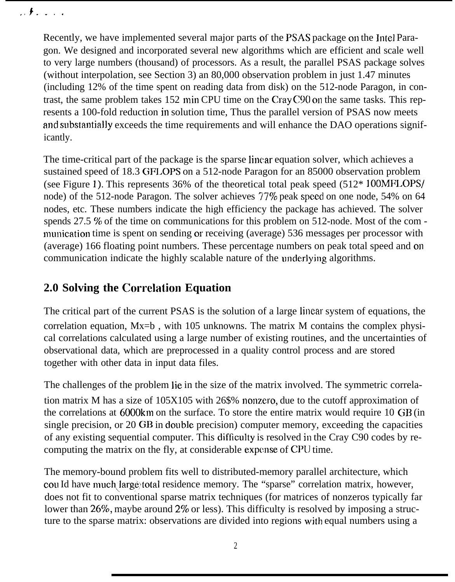.>f. . . .

Recently, we have implemented several major parts of the PSAS package on the Jntel Paragon. We designed and incorporated several new algorithms which are efficient and scale well to very large numbers (thousand) of processors. As a result, the parallel PSAS package solves (without interpolation, see Section 3) an 80,000 observation problem in just 1.47 minutes (including 12% of the time spent on reading data from disk) on the 512-node Paragon, in contrast, the same problem takes 152 min CPU time on the Cray C90 on the same tasks. This represents a 100-fold reduction in solution time, Thus the parallel version of PSAS now meets and substantially exceeds the time requirements and will enhance the DAO operations significantly.

The time-critical part of the package is the sparse linear equation solver, which achieves a sustained speed of 18.3 GFLOPS on a 512-node Paragon for an 85000 observation problem (see Figure 1). This represents 36% of the theoretical total peak speed (512\* **100MFLOPS/** node) of the 512-node Paragon. The solver achieves 77% peak speed on one node, 54% on 64 nodes, etc. These numbers indicate the high efficiency the package has achieved. The solver spends 27.5 % of the time on communications for this problem on 512-node. Most of the com munication time is spent on sending or receiving (average) 536 messages per processor with (average) 166 floating point numbers. These percentage numbers on peak total speed and on communication indicate the highly scalable nature of the underlying algorithms.

### **2.0 Solving the Correlation Equation**

The critical part of the current PSAS is the solution of a large linear system of equations, the correlation equation, Mx=b , with 105 unknowns. The matrix M contains the complex physical correlations calculated using a large number of existing routines, and the uncertainties of observational data, which are preprocessed in a quality control process and are stored together with other data in input data files.

The challenges of the problem lie in the size of the matrix involved. The symmetric correlation matrix M has a size of  $105X105$  with 26\$% nonzero, due to the cutoff approximation of the correlations at 6000km on the surface. To store the entire matrix would require 10 GB (in single precision, or 20 GB in double precision) computer memory, exceeding the capacities of any existing sequential computer. This difficulty is resolved in the Cray C90 codes by recomputing the matrix on the fly, at considerable expense of CPU time.

The memory-bound problem fits well to distributed-memory parallel architecture, which cou Id have much large total residence memory. The "sparse" correlation matrix, however, does not fit to conventional sparse matrix techniques (for matrices of nonzeros typically far lower than 26%, maybe around 2% or less). This difficulty is resolved by imposing a structure to the sparse matrix: observations are divided into regions with equal numbers using a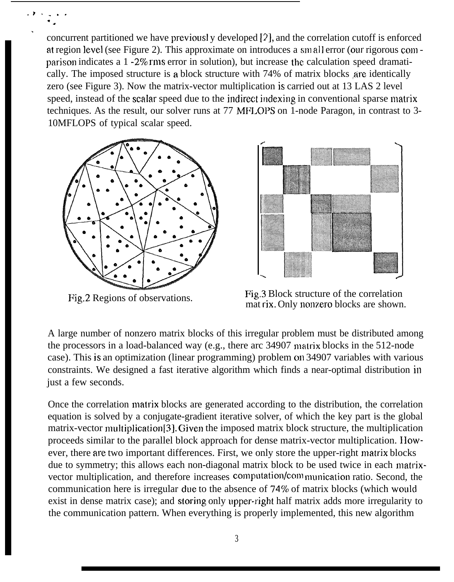concurrent partitioned we have previousl y developed [9], and the correlation cutoff is enforced at region level (see Figure 2). This approximate on introduces a small error (our rigorous com parison indicates a  $1 - 2\%$  rms error in solution), but increase the calculation speed dramatically. The imposed structure is a block structure with 74% of matrix blocks are identically zero (see Figure 3). Now the matrix-vector multiplication is carried out at 13 LAS 2 level speed, instead of the scalar speed due to the indirect indexing in conventional sparse matrix techniques. As the result, our solver runs at 77 MFLOPS on 1-node Paragon, in contrast to 3- 10MFLOPS of typical scalar speed.



.V . . . . . .

.

Fig.2 Regions of observations.



Fig.3 Block structure of the correlation mat rix. Only nonzero blocks are shown.

A large number of nonzero matrix blocks of this irregular problem must be distributed among the processors in a load-balanced way (e.g., there arc 34907 matrix blocks in the 512-node case). This is an optimization (linear programming) problem on 34907 variables with various constraints. We designed a fast iterative algorithm which finds a near-optimal distribution in just a few seconds.

Once the correlation matrix blocks are generated according to the distribution, the correlation equation is solved by a conjugate-gradient iterative solver, of which the key part is the global matrix-vector multiplication [3]. Given the imposed matrix block structure, the multiplication proceeds similar to the parallel block approach for dense matrix-vector multiplication. IIowever, there are two important differences. First, we only store the upper-right matrix blocks due to symmetry; this allows each non-diagonal matrix block to be used twice in each matrixvector multiplication, and therefore increases computation/com munication ratio. Second, the communication here is irregular due to the absence of 74% of matrix blocks (which would exist in dense matrix case); and storing only upper-right half matrix adds more irregularity to the communication pattern. When everything is properly implemented, this new algorithm